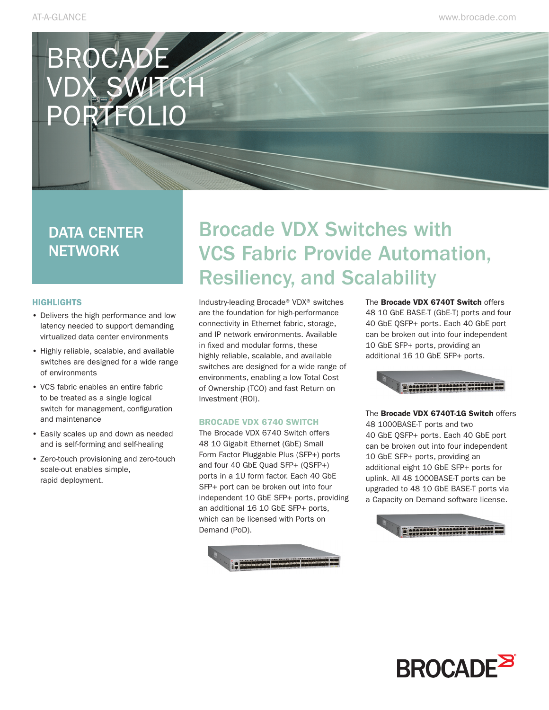# BROCADE VDX SWFCH PORTFOLIO

### DATA CENTER **NETWORK**

#### **HIGHLIGHTS**

- Delivers the high performance and low latency needed to support demanding virtualized data center environments
- Highly reliable, scalable, and available switches are designed for a wide range of environments
- VCS fabric enables an entire fabric to be treated as a single logical switch for management, configuration and maintenance
- Easily scales up and down as needed and is self-forming and self-healing
- Zero-touch provisioning and zero-touch scale-out enables simple, rapid deployment.

## Brocade VDX Switches with VCS Fabric Provide Automation, Resiliency, and Scalability

Industry-leading Brocade® VDX® switches are the foundation for high-performance connectivity in Ethernet fabric, storage, and IP network environments. Available in fixed and modular forms, these highly reliable, scalable, and available switches are designed for a wide range of environments, enabling a low Total Cost of Ownership (TCO) and fast Return on Investment (ROI).

#### BROCADE VDX 6740 SWITCH

The Brocade VDX 6740 Switch offers 48 10 Gigabit Ethernet (GbE) Small Form Factor Pluggable Plus (SFP+) ports and four 40 GbE Quad SFP+ (QSFP+) ports in a 1U form factor. Each 40 GbE SFP+ port can be broken out into four independent 10 GbE SFP+ ports, providing an additional 16 10 GbE SFP+ ports, which can be licensed with Ports on Demand (PoD).



The **Brocade VDX 6740T Switch** offers 48 10 GbE BASE-T (GbE-T) ports and four 40 GbE QSFP+ ports. Each 40 GbE port can be broken out into four independent 10 GbE SFP+ ports, providing an additional 16 10 GbE SFP+ ports.



The Brocade VDX 6740T-1G Switch offers 48 1000BASE-T ports and two 40 GbE QSFP+ ports. Each 40 GbE port can be broken out into four independent 10 GbE SFP+ ports, providing an additional eight 10 GbE SFP+ ports for uplink. All 48 1000BASE-T ports can be upgraded to 48 10 GbE BASE-T ports via a Capacity on Demand software license.



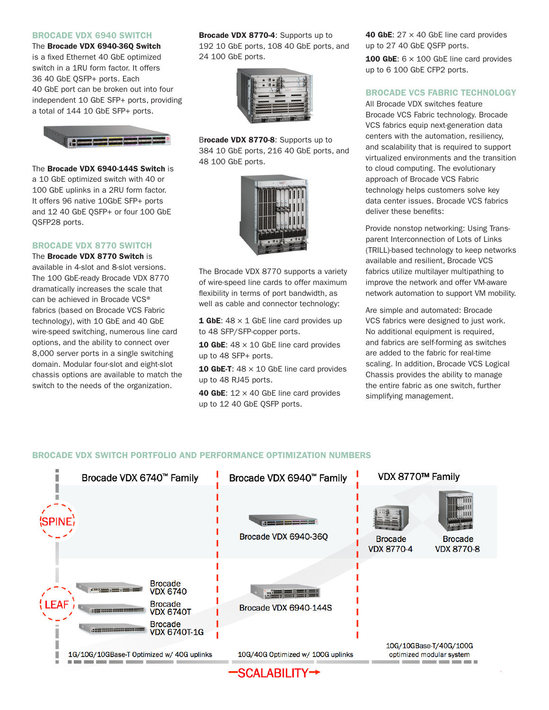#### BROCADE VDX 6940 SWITCH

The Brocade VDX 6940-36Q Switch is a fixed Ethernet 40 GbE optimized switch in a 1RU form factor. It offers 36 40 GbE QSFP+ ports. Each 40 GbE port can be broken out into four independent 10 GbE SFP+ ports, providing a total of 144 10 GbE SFP+ ports.



#### The Brocade VDX 6940-144S Switch is a 10 GbE optimized switch with 40 or 100 GbE uplinks in a 2RU form factor. It offers 96 native 10GbE SFP+ ports and 12 40 GbE QSFP+ or four 100 GbE QSFP28 ports.

#### BROCADE VDX 8770 SWITCH

The Brocade VDX 8770 Switch is available in 4-slot and 8-slot versions. The 100 GbE-ready Brocade VDX 8770 dramatically increases the scale that can be achieved in Brocade VCS® fabrics (based on Brocade VCS Fabric technology), with 10 GbE and 40 GbE wire-speed switching, numerous line card options, and the ability to connect over 8,000 server ports in a single switching domain. Modular four-slot and eight-slot chassis options are available to match the switch to the needs of the organization.

Brocade VDX 8770-4: Supports up to 192 10 GbE ports, 108 40 GbE ports, and 24 100 GbE ports.



Brocade VDX 8770-8: Supports up to 384 10 GbE ports, 216 40 GbE ports, and 48 100 GbE ports.



The Brocade VDX 8770 supports a variety of wire-speed line cards to offer maximum flexibility in terms of port bandwidth, as well as cable and connector technology:

**1 GbE:**  $48 \times 1$  GbE line card provides up to 48 SFP/SFP-copper ports.

**10 GbE:**  $48 \times 10$  GbE line card provides up to 48 SFP+ ports.

**10 GbE-T:**  $48 \times 10$  GbE line card provides up to 48 RJ45 ports.

**40 GbE:**  $12 \times 40$  GbE line card provides up to 12 40 GbE QSFP ports.

40 GbE:  $27 \times 40$  GbE line card provides up to 27 40 GbE QSFP ports.

**100 GbE:**  $6 \times 100$  GbE line card provides up to 6 100 GbE CFP2 ports.

#### BROCADE VCS FABRIC TECHNOLOGY

All Brocade VDX switches feature Brocade VCS Fabric technology. Brocade VCS fabrics equip next-generation data centers with the automation, resiliency, and scalability that is required to support virtualized environments and the transition to cloud computing. The evolutionary approach of Brocade VCS Fabric technology helps customers solve key data center issues. Brocade VCS fabrics deliver these benefits:

Provide nonstop networking: Using Transparent Interconnection of Lots of Links (TRILL)-based technology to keep networks available and resilient, Brocade VCS fabrics utilize multilayer multipathing to improve the network and offer VM-aware network automation to support VM mobility.

Are simple and automated: Brocade VCS fabrics were designed to just work. No additional equipment is required, and fabrics are self-forming as switches are added to the fabric for real-time scaling. In addition, Brocade VCS Logical Chassis provides the ability to manage the entire fabric as one switch, further simplifying management.

#### BROCADE VDX SWITCH PORTFOLIO AND PERFORMANCE OPTIMIZATION NUMBERS